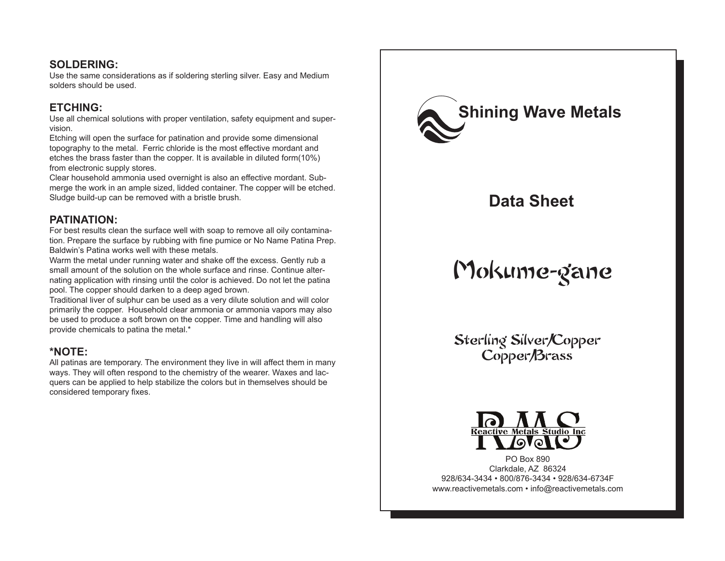#### **SOLDERING:**

Use the same considerations as if soldering sterling silver. Easy and Medium solders should be used.

## **ETCHING:**

Use all chemical solutions with proper ventilation, safety equipment and supervision.

Etching will open the surface for patination and provide some dimensional topography to the metal. Ferric chloride is the most effective mordant and etches the brass faster than the copper. It is available in diluted form(10%) from electronic supply stores.

Clear household ammonia used overnight is also an effective mordant. Submerge the work in an ample sized, lidded container. The copper will be etched. Sludge build-up can be removed with a bristle brush.

### **PATINATION:**

For best results clean the surface well with soap to remove all oily contamination. Prepare the surface by rubbing with fine pumice or No Name Patina Prep. Baldwin's Patina works well with these metals.

Warm the metal under running water and shake off the excess. Gently rub a small amount of the solution on the whole surface and rinse. Continue alternating application with rinsing until the color is achieved. Do not let the patina pool. The copper should darken to a deep aged brown.

Traditional liver of sulphur can be used as a very dilute solution and will color primarily the copper. Household clear ammonia or ammonia vapors may also be used to produce a soft brown on the copper. Time and handling will also provide chemicals to patina the metal.\*

# **\*NOTE:**

All patinas are temporary. The environment they live in will affect them in many ways. They will often respond to the chemistry of the wearer. Waxes and lacquers can be applied to help stabilize the colors but in themselves should be considered temporary fixes.